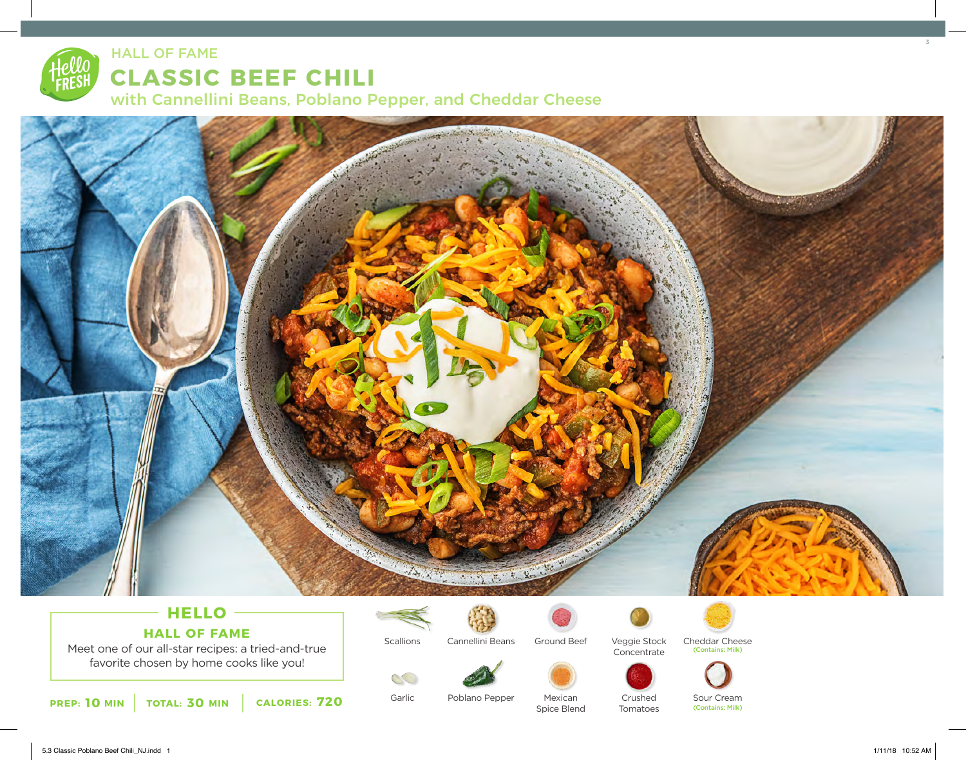# **CLASSIC BEEF CHILI** HALL OF FAME

with Cannellini Beans, Poblano Pepper, and Cheddar Cheese



# **HELLO HALL OF FAME**

Meet one of our all-star recipes: a tried-and-true favorite chosen by home cooks like you!



**Scallions** 

Garlic

00



Cannellini Beans

Poblano Pepper



Veggie Stock Concentrate







Mexican Spice Blend

Crushed Tomatoes Sour Cream (Contains: Milk)

Cheddar Cheese

(Contains: Milk)

3